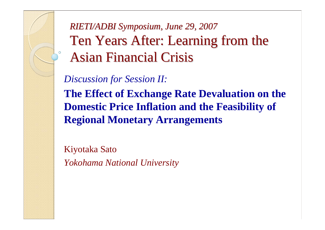*RIETI/ADBI Symposium, June 29, 2007 RIETI/ADBI Symposium, June 29, 2007* Ten Years After: Learning from the Asian Financial Crisis

*Discussion for Session II:*

**The Effect of Exchange Rate Devaluation on the Domestic Price Inflation and the Feasibility of Regional Monetary Arrangements**

Kiyotaka Sato *Yokohama National University*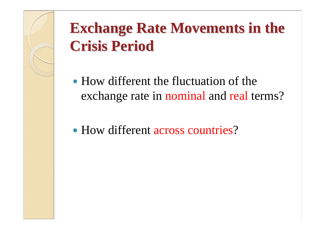## **Exchange Rate Movements in the Crisis Period Crisis Period**

- How different the fluctuation of the exchange rate in nominal and real terms?
- How different across countries?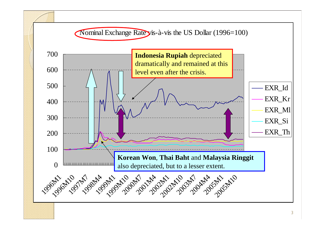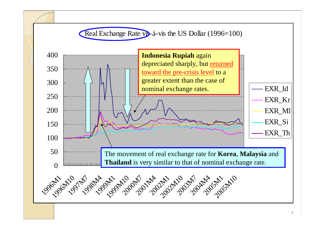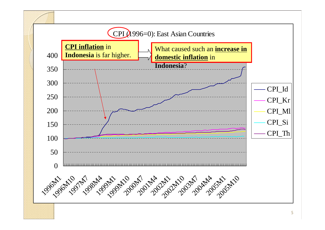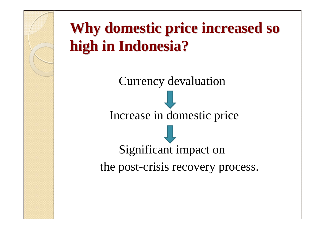## **Why domestic price increased so high in Indonesia? high in Indonesia?**

Currency devaluation Increase in domestic price Significant impact on the post-crisis recovery process.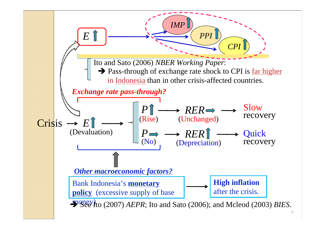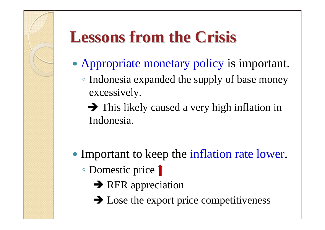# **Lessons from the Crisis Lessons from the Crisis**

- Appropriate monetary policy is important.
	- Indonesia expanded the supply of base money excessively.
		- $\rightarrow$  This likely caused a very high inflation in Indonesia.
- Important to keep the inflation rate lower.
	- Domestic price
		- $\rightarrow$  RER appreciation
		- $\rightarrow$  Lose the export price competitiveness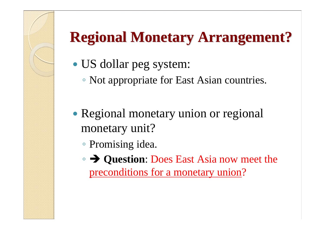### **Regional Monetary Arrangement? Regional Monetary Arrangement?**

- US dollar peg system:
	- Not appropriate for East Asian countries.
- Regional monetary union or regional monetary unit?
	- Promising idea.
	- Î **Question**: Does East Asia now meet the preconditions for a monetary union?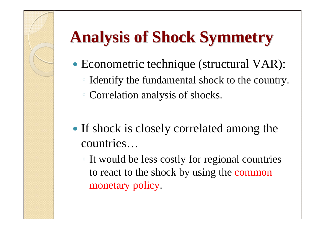# **Analysis of Shock Symmetry Analysis of Shock Symmetry**

- Econometric technique (structural VAR):
	- Identify the fundamental shock to the country.
	- Correlation analysis of shocks.
- If shock is closely correlated among the countries…
	- It would be less costly for regional countries to react to the shock by using the common monetary policy.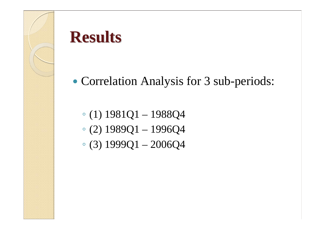

### **Results Results**

### • Correlation Analysis for 3 sub-periods:

- (1) 1981Q1 1988Q4
- (2) 1989Q1 1996Q4
- $\degree$  (3) 1999Q1 2006Q4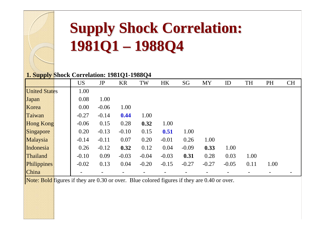# **Supply Shock Correlation: Supply Shock Correlation: 1981Q1 – 1988Q4**

#### **1. Supply Shock Correlation: 1981Q1-1988Q4**

|                      | <b>US</b> | JP      | <b>KR</b> | TW      | <b>HK</b> | SG      | <b>MY</b> | ID      | TH   | <b>PH</b> | <b>CH</b> |
|----------------------|-----------|---------|-----------|---------|-----------|---------|-----------|---------|------|-----------|-----------|
| <b>United States</b> | 1.00      |         |           |         |           |         |           |         |      |           |           |
| Japan                | 0.08      | 1.00    |           |         |           |         |           |         |      |           |           |
| Korea                | 0.00      | $-0.06$ | 1.00      |         |           |         |           |         |      |           |           |
| Taiwan               | $-0.27$   | $-0.14$ | 0.44      | 1.00    |           |         |           |         |      |           |           |
| <b>Hong Kong</b>     | $-0.06$   | 0.15    | 0.28      | 0.32    | 1.00      |         |           |         |      |           |           |
| Singapore            | 0.20      | $-0.13$ | $-0.10$   | 0.15    | 0.51      | 1.00    |           |         |      |           |           |
| Malaysia             | $-0.14$   | $-0.11$ | 0.07      | 0.20    | $-0.01$   | 0.26    | 1.00      |         |      |           |           |
| Indonesia            | 0.26      | $-0.12$ | 0.32      | 0.12    | 0.04      | $-0.09$ | 0.33      | 1.00    |      |           |           |
| Thailand             | $-0.10$   | 0.09    | $-0.03$   | $-0.04$ | $-0.03$   | 0.31    | 0.28      | 0.03    | 1.00 |           |           |
| Philippines          | $-0.02$   | 0.13    | 0.04      | $-0.20$ | $-0.15$   | $-0.27$ | $-0.27$   | $-0.05$ | 0.11 | 1.00      |           |
| China                |           |         |           |         |           |         |           |         |      |           |           |

Note: Bold figures if they are  $0.30$  or over. Blue colored figures if they are  $0.40$  or over.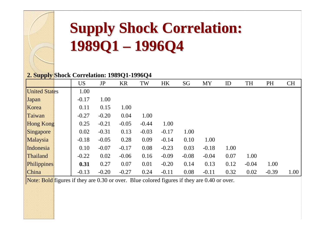#### **Supply Shock Correlation: Supply Shock Correlation: 1989Q1 1996Q4**

#### **2. Supply Shock Correlation: 1989Q1-1996Q4**

|                      | <b>US</b> | JP      | <b>KR</b> | TW      | <b>HK</b> | SG      | <b>MY</b> | ID   | TH      | <b>PH</b> | <b>CH</b> |
|----------------------|-----------|---------|-----------|---------|-----------|---------|-----------|------|---------|-----------|-----------|
| <b>United States</b> | 1.00      |         |           |         |           |         |           |      |         |           |           |
| Japan                | $-0.17$   | 1.00    |           |         |           |         |           |      |         |           |           |
| Korea                | 0.11      | 0.15    | 1.00      |         |           |         |           |      |         |           |           |
| Taiwan               | $-0.27$   | $-0.20$ | 0.04      | 1.00    |           |         |           |      |         |           |           |
| <b>Hong Kong</b>     | 0.25      | $-0.21$ | $-0.05$   | $-0.44$ | 1.00      |         |           |      |         |           |           |
| Singapore            | 0.02      | $-0.31$ | 0.13      | $-0.03$ | $-0.17$   | 1.00    |           |      |         |           |           |
| Malaysia             | $-0.18$   | $-0.05$ | 0.28      | 0.09    | $-0.14$   | 0.10    | 1.00      |      |         |           |           |
| Indonesia            | 0.10      | $-0.07$ | $-0.17$   | 0.08    | $-0.23$   | 0.03    | $-0.18$   | 1.00 |         |           |           |
| Thailand             | $-0.22$   | 0.02    | $-0.06$   | 0.16    | $-0.09$   | $-0.08$ | $-0.04$   | 0.07 | 1.00    |           |           |
| Philippines          | 0.31      | 0.27    | 0.07      | 0.01    | $-0.20$   | 0.14    | 0.13      | 0.12 | $-0.04$ | 1.00      |           |
| <b>China</b>         | $-0.13$   | $-0.20$ | $-0.27$   | 0.24    | $-0.11$   | 0.08    | $-0.11$   | 0.32 | 0.02    | $-0.39$   | 1.00      |

Note: Bold figures if they are 0.30 or over. Blue colored figures if they are 0.40 or over.